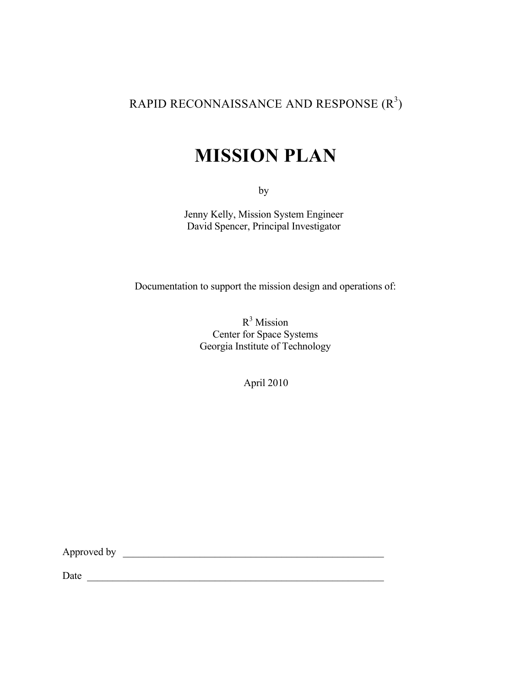# RAPID RECONNAISSANCE AND RESPONSE  $(R^3)$

# **MISSION PLAN**

by

Jenny Kelly, Mission System Engineer David Spencer, Principal Investigator

Documentation to support the mission design and operations of:

 $R^3$  Mission Center for Space Systems Georgia Institute of Technology

April 2010

Approved by \_\_\_\_\_\_\_\_\_\_\_\_\_\_\_\_\_\_\_\_\_\_\_\_\_\_\_\_\_\_\_\_\_\_\_\_\_\_\_\_\_\_\_\_\_\_\_\_\_\_\_

Date \_\_\_\_\_\_\_\_\_\_\_\_\_\_\_\_\_\_\_\_\_\_\_\_\_\_\_\_\_\_\_\_\_\_\_\_\_\_\_\_\_\_\_\_\_\_\_\_\_\_\_\_\_\_\_\_\_\_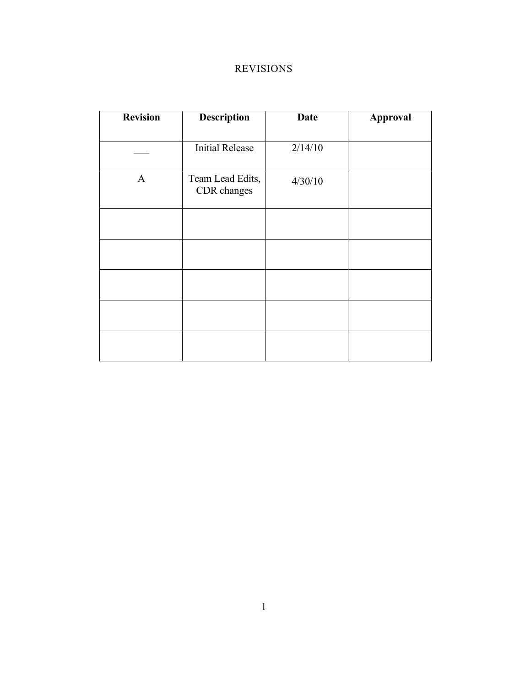# REVISIONS

| <b>Revision</b> | <b>Description</b>              | <b>Date</b> | <b>Approval</b> |
|-----------------|---------------------------------|-------------|-----------------|
|                 |                                 |             |                 |
|                 | <b>Initial Release</b>          | 2/14/10     |                 |
| $\mathbf{A}$    | Team Lead Edits,<br>CDR changes | 4/30/10     |                 |
|                 |                                 |             |                 |
|                 |                                 |             |                 |
|                 |                                 |             |                 |
|                 |                                 |             |                 |
|                 |                                 |             |                 |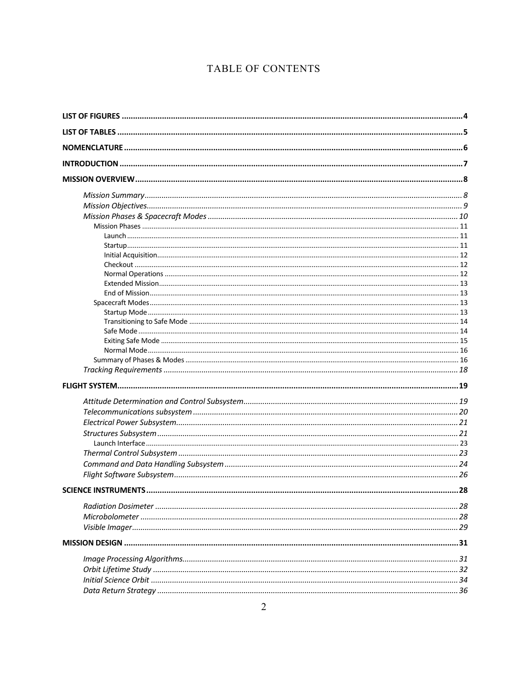# TABLE OF CONTENTS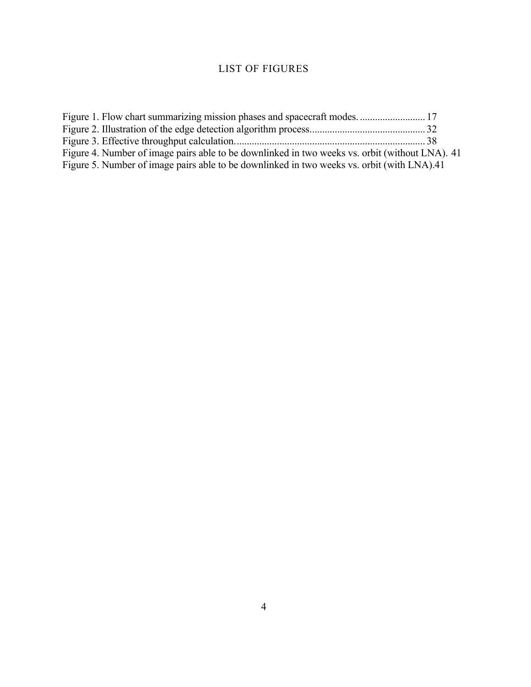# LIST OF FIGURES

| Figure 4. Number of image pairs able to be downlinked in two weeks vs. orbit (without LNA). 41 |  |
|------------------------------------------------------------------------------------------------|--|
| Figure 5. Number of image pairs able to be downlinked in two weeks vs. orbit (with LNA).41     |  |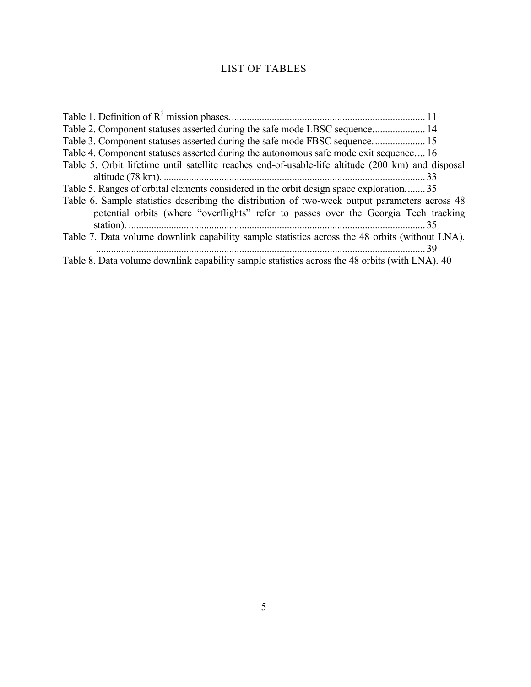# LIST OF TABLES

| Table 2. Component statuses asserted during the safe mode LBSC sequence 14                        |  |
|---------------------------------------------------------------------------------------------------|--|
| Table 3. Component statuses asserted during the safe mode FBSC sequence 15                        |  |
| Table 4. Component statuses asserted during the autonomous safe mode exit sequence 16             |  |
| Table 5. Orbit lifetime until satellite reaches end-of-usable-life altitude (200 km) and disposal |  |
|                                                                                                   |  |
| Table 5. Ranges of orbital elements considered in the orbit design space exploration 35           |  |
| Table 6. Sample statistics describing the distribution of two-week output parameters across 48    |  |
| potential orbits (where "overflights" refer to passes over the Georgia Tech tracking              |  |
|                                                                                                   |  |
| Table 7. Data volume downlink capability sample statistics across the 48 orbits (without LNA).    |  |
|                                                                                                   |  |
| Table 8. Data volume downlink capability sample statistics across the 48 orbits (with LNA). 40    |  |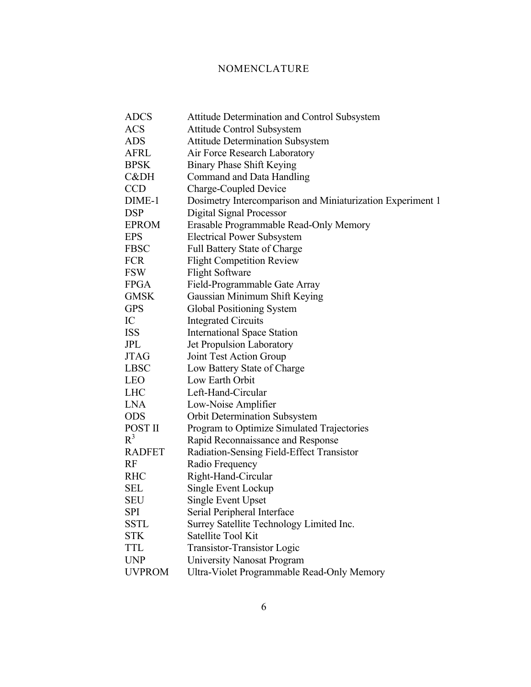# NOMENCLATURE

| <b>ADCS</b>   | <b>Attitude Determination and Control Subsystem</b>        |
|---------------|------------------------------------------------------------|
| <b>ACS</b>    | <b>Attitude Control Subsystem</b>                          |
| <b>ADS</b>    | <b>Attitude Determination Subsystem</b>                    |
| <b>AFRL</b>   | Air Force Research Laboratory                              |
| <b>BPSK</b>   | <b>Binary Phase Shift Keying</b>                           |
| C&DH          | Command and Data Handling                                  |
| <b>CCD</b>    | <b>Charge-Coupled Device</b>                               |
| DIME-1        | Dosimetry Intercomparison and Miniaturization Experiment 1 |
| <b>DSP</b>    | Digital Signal Processor                                   |
| <b>EPROM</b>  | Erasable Programmable Read-Only Memory                     |
| <b>EPS</b>    | <b>Electrical Power Subsystem</b>                          |
| <b>FBSC</b>   | <b>Full Battery State of Charge</b>                        |
| <b>FCR</b>    | <b>Flight Competition Review</b>                           |
| <b>FSW</b>    | <b>Flight Software</b>                                     |
| <b>FPGA</b>   | Field-Programmable Gate Array                              |
| <b>GMSK</b>   | Gaussian Minimum Shift Keying                              |
| <b>GPS</b>    | <b>Global Positioning System</b>                           |
| IC            | <b>Integrated Circuits</b>                                 |
| <b>ISS</b>    | <b>International Space Station</b>                         |
| JPL           | Jet Propulsion Laboratory                                  |
| <b>JTAG</b>   | Joint Test Action Group                                    |
| <b>LBSC</b>   | Low Battery State of Charge                                |
| <b>LEO</b>    | Low Earth Orbit                                            |
| <b>LHC</b>    | Left-Hand-Circular                                         |
| <b>LNA</b>    | Low-Noise Amplifier                                        |
| <b>ODS</b>    | <b>Orbit Determination Subsystem</b>                       |
| POST II       | Program to Optimize Simulated Trajectories                 |
| $R^3$         | Rapid Reconnaissance and Response                          |
| <b>RADFET</b> | Radiation-Sensing Field-Effect Transistor                  |
| RF            | Radio Frequency                                            |
| <b>RHC</b>    | Right-Hand-Circular                                        |
| SEL           | Single Event Lockup                                        |
| SEU           | Single Event Upset                                         |
| <b>SPI</b>    | Serial Peripheral Interface                                |
| SSTL          | Surrey Satellite Technology Limited Inc.                   |
| <b>STK</b>    | Satellite Tool Kit                                         |
| TTL           | <b>Transistor-Transistor Logic</b>                         |
| <b>UNP</b>    | <b>University Nanosat Program</b>                          |
| <b>UVPROM</b> | Ultra-Violet Programmable Read-Only Memory                 |
|               |                                                            |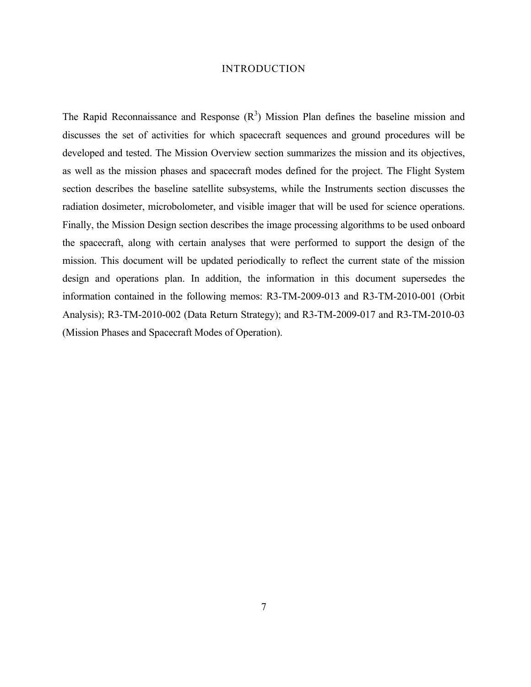#### INTRODUCTION

The Rapid Reconnaissance and Response  $(R^3)$  Mission Plan defines the baseline mission and discusses the set of activities for which spacecraft sequences and ground procedures will be developed and tested. The Mission Overview section summarizes the mission and its objectives, as well as the mission phases and spacecraft modes defined for the project. The Flight System section describes the baseline satellite subsystems, while the Instruments section discusses the radiation dosimeter, microbolometer, and visible imager that will be used for science operations. Finally, the Mission Design section describes the image processing algorithms to be used onboard the spacecraft, along with certain analyses that were performed to support the design of the mission. This document will be updated periodically to reflect the current state of the mission design and operations plan. In addition, the information in this document supersedes the information contained in the following memos: R3-TM-2009-013 and R3-TM-2010-001 (Orbit Analysis); R3-TM-2010-002 (Data Return Strategy); and R3-TM-2009-017 and R3-TM-2010-03 (Mission Phases and Spacecraft Modes of Operation).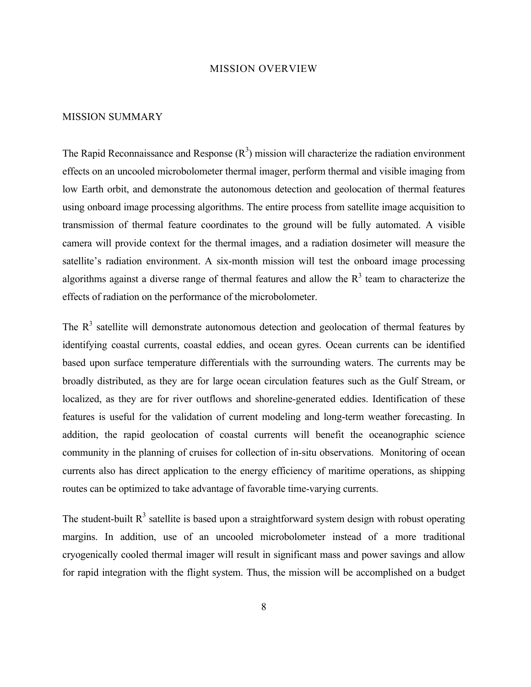#### MISSION OVERVIEW

#### MISSION SUMMARY

The Rapid Reconnaissance and Response  $(R^3)$  mission will characterize the radiation environment effects on an uncooled microbolometer thermal imager, perform thermal and visible imaging from low Earth orbit, and demonstrate the autonomous detection and geolocation of thermal features using onboard image processing algorithms. The entire process from satellite image acquisition to transmission of thermal feature coordinates to the ground will be fully automated. A visible camera will provide context for the thermal images, and a radiation dosimeter will measure the satellite's radiation environment. A six-month mission will test the onboard image processing algorithms against a diverse range of thermal features and allow the  $R<sup>3</sup>$  team to characterize the effects of radiation on the performance of the microbolometer.

The  $R<sup>3</sup>$  satellite will demonstrate autonomous detection and geolocation of thermal features by identifying coastal currents, coastal eddies, and ocean gyres. Ocean currents can be identified based upon surface temperature differentials with the surrounding waters. The currents may be broadly distributed, as they are for large ocean circulation features such as the Gulf Stream, or localized, as they are for river outflows and shoreline-generated eddies. Identification of these features is useful for the validation of current modeling and long-term weather forecasting. In addition, the rapid geolocation of coastal currents will benefit the oceanographic science community in the planning of cruises for collection of in-situ observations. Monitoring of ocean currents also has direct application to the energy efficiency of maritime operations, as shipping routes can be optimized to take advantage of favorable time-varying currents.

The student-built  $R<sup>3</sup>$  satellite is based upon a straightforward system design with robust operating margins. In addition, use of an uncooled microbolometer instead of a more traditional cryogenically cooled thermal imager will result in significant mass and power savings and allow for rapid integration with the flight system. Thus, the mission will be accomplished on a budget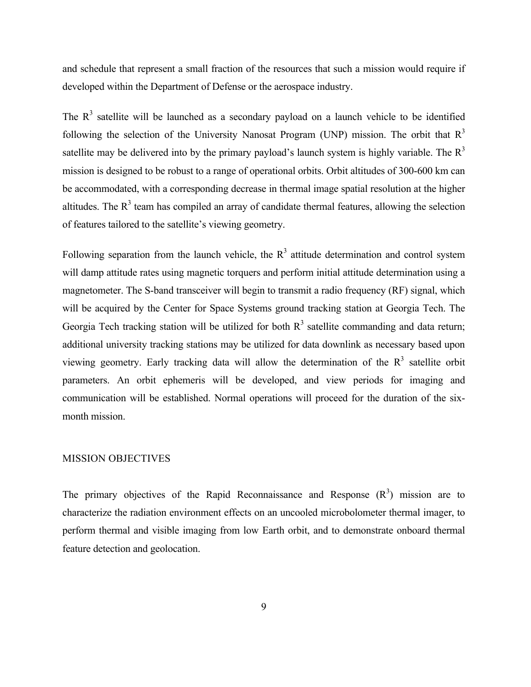and schedule that represent a small fraction of the resources that such a mission would require if developed within the Department of Defense or the aerospace industry.

The  $R<sup>3</sup>$  satellite will be launched as a secondary payload on a launch vehicle to be identified following the selection of the University Nanosat Program (UNP) mission. The orbit that  $R<sup>3</sup>$ satellite may be delivered into by the primary payload's launch system is highly variable. The  $R<sup>3</sup>$ mission is designed to be robust to a range of operational orbits. Orbit altitudes of 300-600 km can be accommodated, with a corresponding decrease in thermal image spatial resolution at the higher altitudes. The  $R<sup>3</sup>$  team has compiled an array of candidate thermal features, allowing the selection of features tailored to the satellite's viewing geometry.

Following separation from the launch vehicle, the  $R<sup>3</sup>$  attitude determination and control system will damp attitude rates using magnetic torquers and perform initial attitude determination using a magnetometer. The S-band transceiver will begin to transmit a radio frequency (RF) signal, which will be acquired by the Center for Space Systems ground tracking station at Georgia Tech. The Georgia Tech tracking station will be utilized for both  $R<sup>3</sup>$  satellite commanding and data return; additional university tracking stations may be utilized for data downlink as necessary based upon viewing geometry. Early tracking data will allow the determination of the  $R<sup>3</sup>$  satellite orbit parameters. An orbit ephemeris will be developed, and view periods for imaging and communication will be established. Normal operations will proceed for the duration of the sixmonth mission.

#### MISSION OBJECTIVES

The primary objectives of the Rapid Reconnaissance and Response  $(R<sup>3</sup>)$  mission are to characterize the radiation environment effects on an uncooled microbolometer thermal imager, to perform thermal and visible imaging from low Earth orbit, and to demonstrate onboard thermal feature detection and geolocation.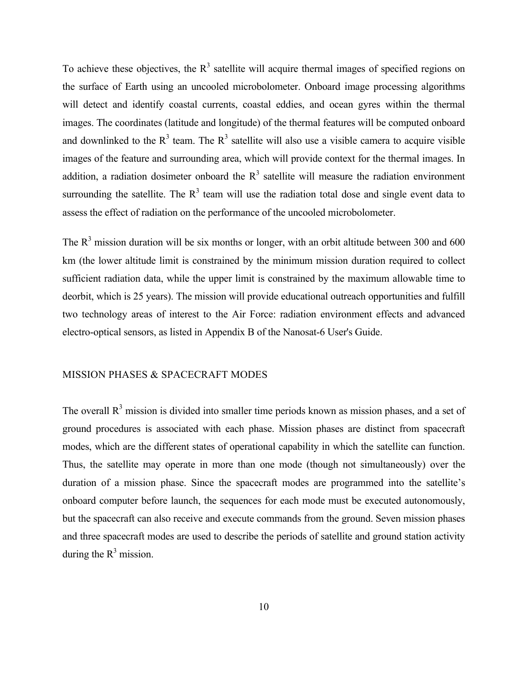To achieve these objectives, the  $R<sup>3</sup>$  satellite will acquire thermal images of specified regions on the surface of Earth using an uncooled microbolometer. Onboard image processing algorithms will detect and identify coastal currents, coastal eddies, and ocean gyres within the thermal images. The coordinates (latitude and longitude) of the thermal features will be computed onboard and downlinked to the  $R<sup>3</sup>$  team. The  $R<sup>3</sup>$  satellite will also use a visible camera to acquire visible images of the feature and surrounding area, which will provide context for the thermal images. In addition, a radiation dosimeter onboard the  $R<sup>3</sup>$  satellite will measure the radiation environment surrounding the satellite. The  $R<sup>3</sup>$  team will use the radiation total dose and single event data to assess the effect of radiation on the performance of the uncooled microbolometer.

The  $R<sup>3</sup>$  mission duration will be six months or longer, with an orbit altitude between 300 and 600 km (the lower altitude limit is constrained by the minimum mission duration required to collect sufficient radiation data, while the upper limit is constrained by the maximum allowable time to deorbit, which is 25 years). The mission will provide educational outreach opportunities and fulfill two technology areas of interest to the Air Force: radiation environment effects and advanced electro-optical sensors, as listed in Appendix B of the Nanosat-6 User's Guide.

# MISSION PHASES & SPACECRAFT MODES

The overall  $R<sup>3</sup>$  mission is divided into smaller time periods known as mission phases, and a set of ground procedures is associated with each phase. Mission phases are distinct from spacecraft modes, which are the different states of operational capability in which the satellite can function. Thus, the satellite may operate in more than one mode (though not simultaneously) over the duration of a mission phase. Since the spacecraft modes are programmed into the satellite's onboard computer before launch, the sequences for each mode must be executed autonomously, but the spacecraft can also receive and execute commands from the ground. Seven mission phases and three spacecraft modes are used to describe the periods of satellite and ground station activity during the  $R^3$  mission.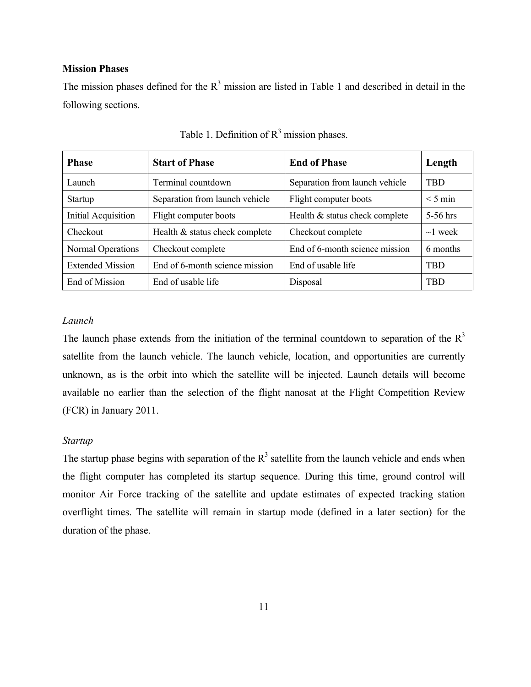# **Mission Phases**

The mission phases defined for the  $R<sup>3</sup>$  mission are listed in Table 1 and described in detail in the following sections.

| <b>Phase</b>               | <b>Start of Phase</b>          | <b>End of Phase</b>            | Length        |
|----------------------------|--------------------------------|--------------------------------|---------------|
| Launch                     | Terminal countdown             | Separation from launch vehicle | <b>TBD</b>    |
| Startup                    | Separation from launch vehicle | Flight computer boots          |               |
| <b>Initial Acquisition</b> | Flight computer boots          | Health & status check complete | 5-56 hrs      |
| Checkout                   | Health & status check complete | Checkout complete              | $\sim$ 1 week |
| Normal Operations          | Checkout complete              | End of 6-month science mission | 6 months      |
| <b>Extended Mission</b>    | End of 6-month science mission | End of usable life             | TBD           |
| End of Mission             | End of usable life             | Disposal                       | <b>TBD</b>    |

Table 1. Definition of  $R<sup>3</sup>$  mission phases.

# *Launch*

The launch phase extends from the initiation of the terminal countdown to separation of the  $R<sup>3</sup>$ satellite from the launch vehicle. The launch vehicle, location, and opportunities are currently unknown, as is the orbit into which the satellite will be injected. Launch details will become available no earlier than the selection of the flight nanosat at the Flight Competition Review (FCR) in January 2011.

### *Startup*

The startup phase begins with separation of the  $R<sup>3</sup>$  satellite from the launch vehicle and ends when the flight computer has completed its startup sequence. During this time, ground control will monitor Air Force tracking of the satellite and update estimates of expected tracking station overflight times. The satellite will remain in startup mode (defined in a later section) for the duration of the phase.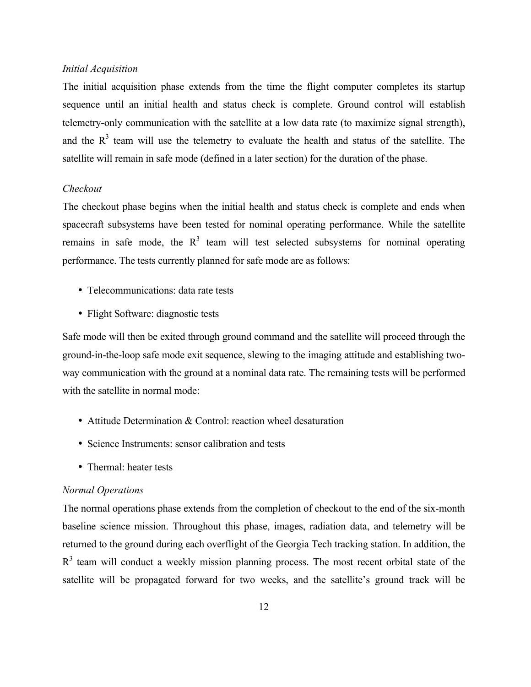# *Initial Acquisition*

The initial acquisition phase extends from the time the flight computer completes its startup sequence until an initial health and status check is complete. Ground control will establish telemetry-only communication with the satellite at a low data rate (to maximize signal strength), and the  $R<sup>3</sup>$  team will use the telemetry to evaluate the health and status of the satellite. The satellite will remain in safe mode (defined in a later section) for the duration of the phase.

# *Checkout*

The checkout phase begins when the initial health and status check is complete and ends when spacecraft subsystems have been tested for nominal operating performance. While the satellite remains in safe mode, the  $R<sup>3</sup>$  team will test selected subsystems for nominal operating performance. The tests currently planned for safe mode are as follows:

- Telecommunications: data rate tests
- Flight Software: diagnostic tests

Safe mode will then be exited through ground command and the satellite will proceed through the ground-in-the-loop safe mode exit sequence, slewing to the imaging attitude and establishing twoway communication with the ground at a nominal data rate. The remaining tests will be performed with the satellite in normal mode:

- Attitude Determination & Control: reaction wheel desaturation
- Science Instruments: sensor calibration and tests
- Thermal: heater tests

#### *Normal Operations*

The normal operations phase extends from the completion of checkout to the end of the six-month baseline science mission. Throughout this phase, images, radiation data, and telemetry will be returned to the ground during each overflight of the Georgia Tech tracking station. In addition, the  $R<sup>3</sup>$  team will conduct a weekly mission planning process. The most recent orbital state of the satellite will be propagated forward for two weeks, and the satellite's ground track will be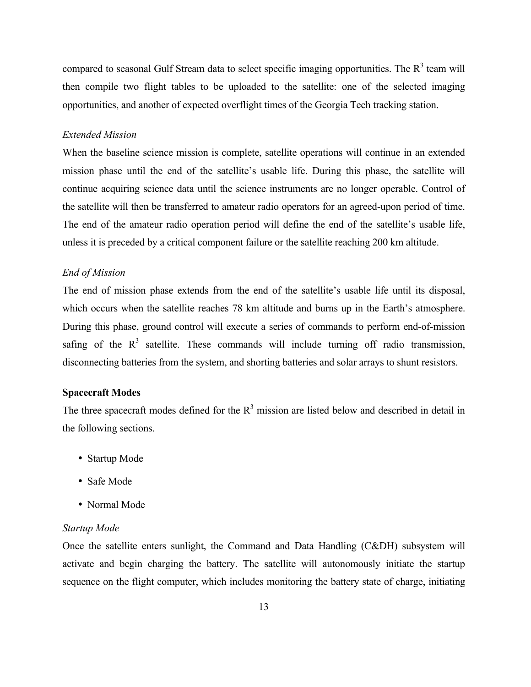compared to seasonal Gulf Stream data to select specific imaging opportunities. The  $R<sup>3</sup>$  team will then compile two flight tables to be uploaded to the satellite: one of the selected imaging opportunities, and another of expected overflight times of the Georgia Tech tracking station.

#### *Extended Mission*

When the baseline science mission is complete, satellite operations will continue in an extended mission phase until the end of the satellite's usable life. During this phase, the satellite will continue acquiring science data until the science instruments are no longer operable. Control of the satellite will then be transferred to amateur radio operators for an agreed-upon period of time. The end of the amateur radio operation period will define the end of the satellite's usable life, unless it is preceded by a critical component failure or the satellite reaching 200 km altitude.

### *End of Mission*

The end of mission phase extends from the end of the satellite's usable life until its disposal, which occurs when the satellite reaches 78 km altitude and burns up in the Earth's atmosphere. During this phase, ground control will execute a series of commands to perform end-of-mission safing of the  $R<sup>3</sup>$  satellite. These commands will include turning off radio transmission, disconnecting batteries from the system, and shorting batteries and solar arrays to shunt resistors.

# **Spacecraft Modes**

The three spacecraft modes defined for the  $R<sup>3</sup>$  mission are listed below and described in detail in the following sections.

- Startup Mode
- Safe Mode
- Normal Mode

#### *Startup Mode*

Once the satellite enters sunlight, the Command and Data Handling (C&DH) subsystem will activate and begin charging the battery. The satellite will autonomously initiate the startup sequence on the flight computer, which includes monitoring the battery state of charge, initiating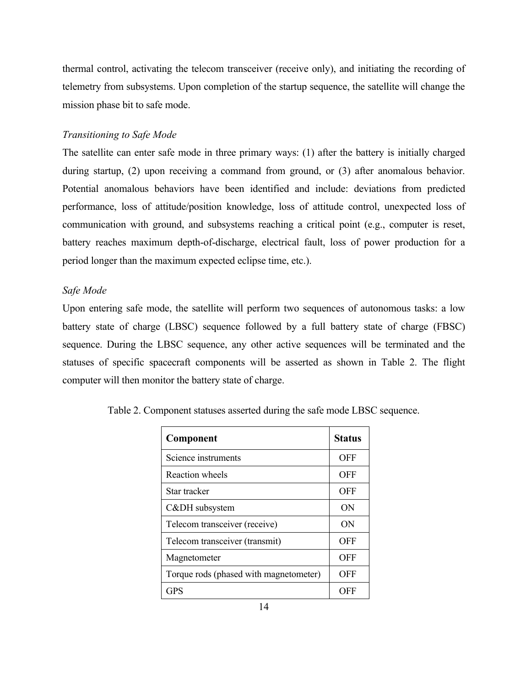thermal control, activating the telecom transceiver (receive only), and initiating the recording of telemetry from subsystems. Upon completion of the startup sequence, the satellite will change the mission phase bit to safe mode.

# *Transitioning to Safe Mode*

The satellite can enter safe mode in three primary ways: (1) after the battery is initially charged during startup, (2) upon receiving a command from ground, or (3) after anomalous behavior. Potential anomalous behaviors have been identified and include: deviations from predicted performance, loss of attitude/position knowledge, loss of attitude control, unexpected loss of communication with ground, and subsystems reaching a critical point (e.g., computer is reset, battery reaches maximum depth-of-discharge, electrical fault, loss of power production for a period longer than the maximum expected eclipse time, etc.).

# *Safe Mode*

Upon entering safe mode, the satellite will perform two sequences of autonomous tasks: a low battery state of charge (LBSC) sequence followed by a full battery state of charge (FBSC) sequence. During the LBSC sequence, any other active sequences will be terminated and the statuses of specific spacecraft components will be asserted as shown in Table 2. The flight computer will then monitor the battery state of charge.

| Component                              | Status     |
|----------------------------------------|------------|
| Science instruments                    | OFF        |
| <b>Reaction</b> wheels                 | <b>OFF</b> |
| Star tracker                           | <b>OFF</b> |
| C&DH subsystem                         | ON         |
| Telecom transceiver (receive)          | ON         |
| Telecom transceiver (transmit)         | OFF        |
| Magnetometer                           | <b>OFF</b> |
| Torque rods (phased with magnetometer) | OFF        |
| <b>GPS</b>                             | OFF        |

Table 2. Component statuses asserted during the safe mode LBSC sequence.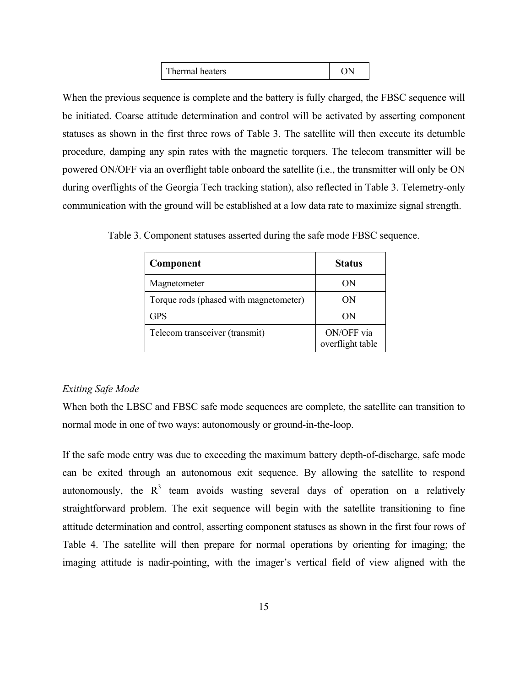| Thermal heaters |  |
|-----------------|--|
|-----------------|--|

When the previous sequence is complete and the battery is fully charged, the FBSC sequence will be initiated. Coarse attitude determination and control will be activated by asserting component statuses as shown in the first three rows of Table 3. The satellite will then execute its detumble procedure, damping any spin rates with the magnetic torquers. The telecom transmitter will be powered ON/OFF via an overflight table onboard the satellite (i.e., the transmitter will only be ON during overflights of the Georgia Tech tracking station), also reflected in Table 3. Telemetry-only communication with the ground will be established at a low data rate to maximize signal strength.

| Component                              | <b>Status</b>                  |
|----------------------------------------|--------------------------------|
| Magnetometer                           | ON                             |
| Torque rods (phased with magnetometer) | ON)                            |
| <b>GPS</b>                             | OΝ                             |
| Telecom transceiver (transmit)         | ON/OFF via<br>overflight table |

Table 3. Component statuses asserted during the safe mode FBSC sequence.

# *Exiting Safe Mode*

When both the LBSC and FBSC safe mode sequences are complete, the satellite can transition to normal mode in one of two ways: autonomously or ground-in-the-loop.

If the safe mode entry was due to exceeding the maximum battery depth-of-discharge, safe mode can be exited through an autonomous exit sequence. By allowing the satellite to respond autonomously, the  $R<sup>3</sup>$  team avoids wasting several days of operation on a relatively straightforward problem. The exit sequence will begin with the satellite transitioning to fine attitude determination and control, asserting component statuses as shown in the first four rows of Table 4. The satellite will then prepare for normal operations by orienting for imaging; the imaging attitude is nadir-pointing, with the imager's vertical field of view aligned with the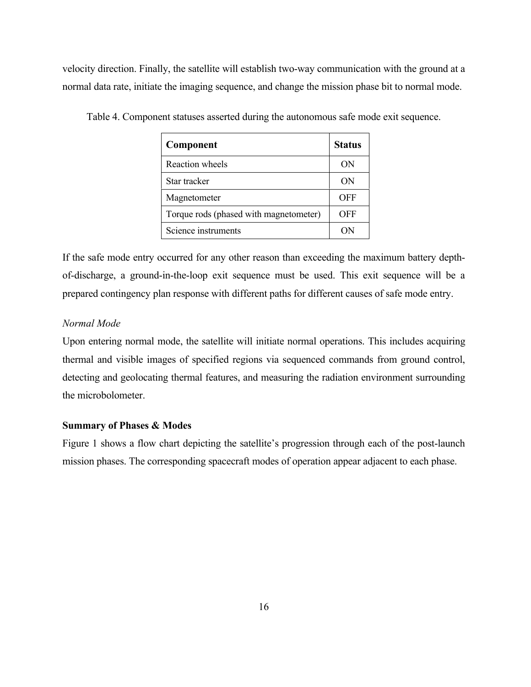velocity direction. Finally, the satellite will establish two-way communication with the ground at a normal data rate, initiate the imaging sequence, and change the mission phase bit to normal mode.

| Component                              | <b>Status</b> |
|----------------------------------------|---------------|
| Reaction wheels                        | ON            |
| Star tracker                           | ON            |
| Magnetometer                           | OFF           |
| Torque rods (phased with magnetometer) | OFF           |
| Science instruments                    |               |

Table 4. Component statuses asserted during the autonomous safe mode exit sequence.

If the safe mode entry occurred for any other reason than exceeding the maximum battery depthof-discharge, a ground-in-the-loop exit sequence must be used. This exit sequence will be a prepared contingency plan response with different paths for different causes of safe mode entry.

# *Normal Mode*

Upon entering normal mode, the satellite will initiate normal operations. This includes acquiring thermal and visible images of specified regions via sequenced commands from ground control, detecting and geolocating thermal features, and measuring the radiation environment surrounding the microbolometer.

#### **Summary of Phases & Modes**

Figure 1 shows a flow chart depicting the satellite's progression through each of the post-launch mission phases. The corresponding spacecraft modes of operation appear adjacent to each phase.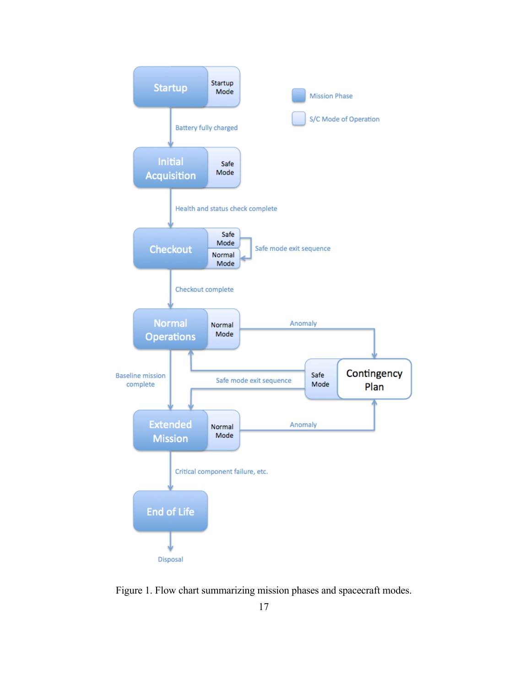

Figure 1. Flow chart summarizing mission phases and spacecraft modes.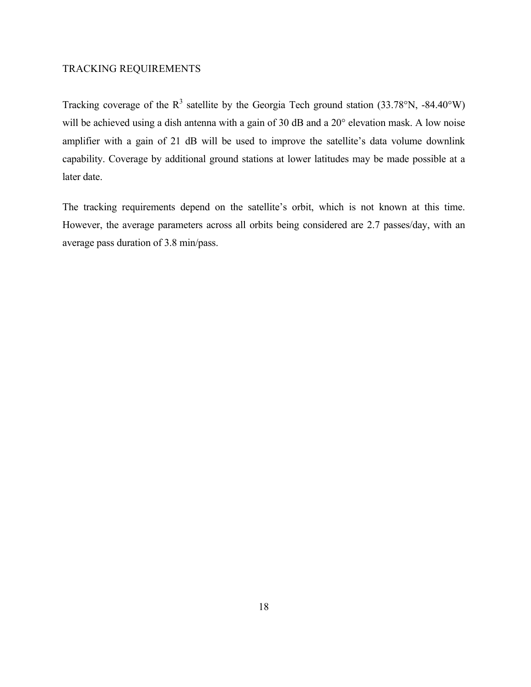# TRACKING REQUIREMENTS

Tracking coverage of the  $R^3$  satellite by the Georgia Tech ground station (33.78°N, -84.40°W) will be achieved using a dish antenna with a gain of 30 dB and a 20° elevation mask. A low noise amplifier with a gain of 21 dB will be used to improve the satellite's data volume downlink capability. Coverage by additional ground stations at lower latitudes may be made possible at a later date.

The tracking requirements depend on the satellite's orbit, which is not known at this time. However, the average parameters across all orbits being considered are 2.7 passes/day, with an average pass duration of 3.8 min/pass.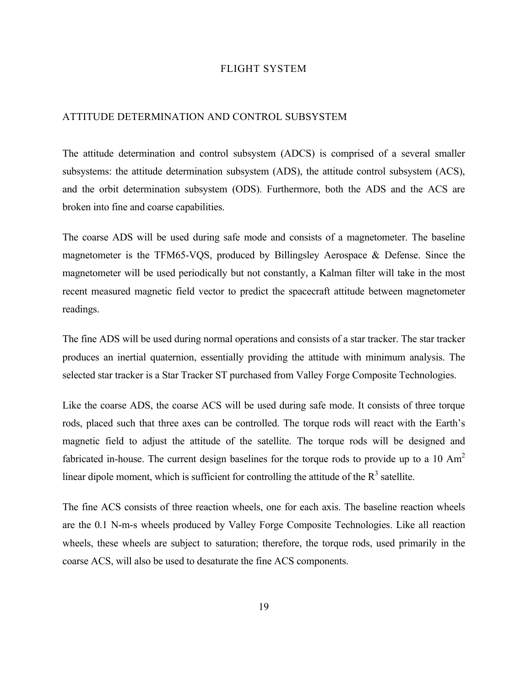### FLIGHT SYSTEM

#### ATTITUDE DETERMINATION AND CONTROL SUBSYSTEM

The attitude determination and control subsystem (ADCS) is comprised of a several smaller subsystems: the attitude determination subsystem (ADS), the attitude control subsystem (ACS), and the orbit determination subsystem (ODS). Furthermore, both the ADS and the ACS are broken into fine and coarse capabilities.

The coarse ADS will be used during safe mode and consists of a magnetometer. The baseline magnetometer is the TFM65-VQS, produced by Billingsley Aerospace & Defense. Since the magnetometer will be used periodically but not constantly, a Kalman filter will take in the most recent measured magnetic field vector to predict the spacecraft attitude between magnetometer readings.

The fine ADS will be used during normal operations and consists of a star tracker. The star tracker produces an inertial quaternion, essentially providing the attitude with minimum analysis. The selected star tracker is a Star Tracker ST purchased from Valley Forge Composite Technologies.

Like the coarse ADS, the coarse ACS will be used during safe mode. It consists of three torque rods, placed such that three axes can be controlled. The torque rods will react with the Earth's magnetic field to adjust the attitude of the satellite. The torque rods will be designed and fabricated in-house. The current design baselines for the torque rods to provide up to a 10  $\text{Am}^2$ linear dipole moment, which is sufficient for controlling the attitude of the  $R<sup>3</sup>$  satellite.

The fine ACS consists of three reaction wheels, one for each axis. The baseline reaction wheels are the 0.1 N-m-s wheels produced by Valley Forge Composite Technologies. Like all reaction wheels, these wheels are subject to saturation; therefore, the torque rods, used primarily in the coarse ACS, will also be used to desaturate the fine ACS components.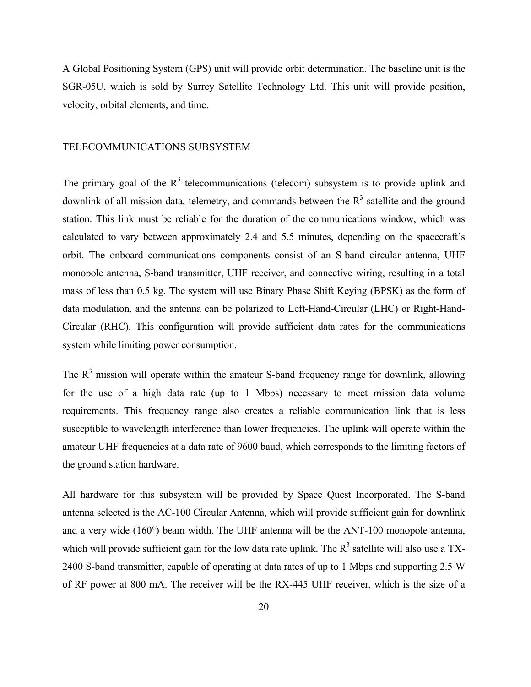A Global Positioning System (GPS) unit will provide orbit determination. The baseline unit is the SGR-05U, which is sold by Surrey Satellite Technology Ltd. This unit will provide position, velocity, orbital elements, and time.

#### TELECOMMUNICATIONS SUBSYSTEM

The primary goal of the  $R<sup>3</sup>$  telecommunications (telecom) subsystem is to provide uplink and downlink of all mission data, telemetry, and commands between the  $R<sup>3</sup>$  satellite and the ground station. This link must be reliable for the duration of the communications window, which was calculated to vary between approximately 2.4 and 5.5 minutes, depending on the spacecraft's orbit. The onboard communications components consist of an S-band circular antenna, UHF monopole antenna, S-band transmitter, UHF receiver, and connective wiring, resulting in a total mass of less than 0.5 kg. The system will use Binary Phase Shift Keying (BPSK) as the form of data modulation, and the antenna can be polarized to Left-Hand-Circular (LHC) or Right-Hand-Circular (RHC). This configuration will provide sufficient data rates for the communications system while limiting power consumption.

The  $R<sup>3</sup>$  mission will operate within the amateur S-band frequency range for downlink, allowing for the use of a high data rate (up to 1 Mbps) necessary to meet mission data volume requirements. This frequency range also creates a reliable communication link that is less susceptible to wavelength interference than lower frequencies. The uplink will operate within the amateur UHF frequencies at a data rate of 9600 baud, which corresponds to the limiting factors of the ground station hardware.

All hardware for this subsystem will be provided by Space Quest Incorporated. The S-band antenna selected is the AC-100 Circular Antenna, which will provide sufficient gain for downlink and a very wide (160°) beam width. The UHF antenna will be the ANT-100 monopole antenna, which will provide sufficient gain for the low data rate uplink. The  $R<sup>3</sup>$  satellite will also use a TX-2400 S-band transmitter, capable of operating at data rates of up to 1 Mbps and supporting 2.5 W of RF power at 800 mA. The receiver will be the RX-445 UHF receiver, which is the size of a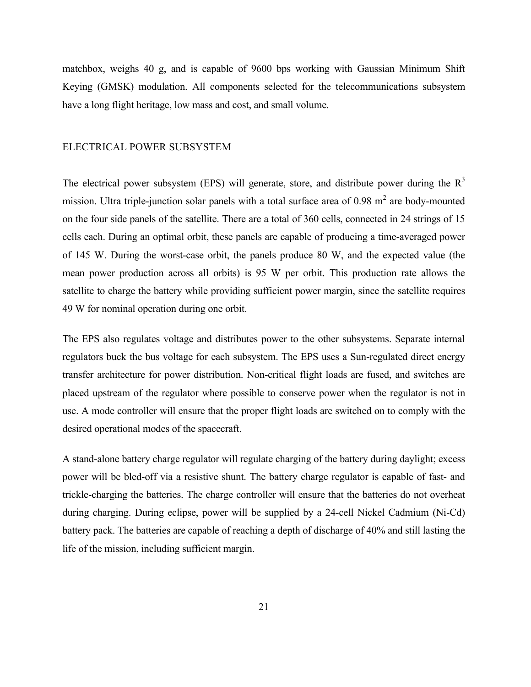matchbox, weighs 40 g, and is capable of 9600 bps working with Gaussian Minimum Shift Keying (GMSK) modulation. All components selected for the telecommunications subsystem have a long flight heritage, low mass and cost, and small volume.

#### ELECTRICAL POWER SUBSYSTEM

The electrical power subsystem (EPS) will generate, store, and distribute power during the  $R<sup>3</sup>$ mission. Ultra triple-junction solar panels with a total surface area of  $0.98 \text{ m}^2$  are body-mounted on the four side panels of the satellite. There are a total of 360 cells, connected in 24 strings of 15 cells each. During an optimal orbit, these panels are capable of producing a time-averaged power of 145 W. During the worst-case orbit, the panels produce 80 W, and the expected value (the mean power production across all orbits) is 95 W per orbit. This production rate allows the satellite to charge the battery while providing sufficient power margin, since the satellite requires 49 W for nominal operation during one orbit.

The EPS also regulates voltage and distributes power to the other subsystems. Separate internal regulators buck the bus voltage for each subsystem. The EPS uses a Sun-regulated direct energy transfer architecture for power distribution. Non-critical flight loads are fused, and switches are placed upstream of the regulator where possible to conserve power when the regulator is not in use. A mode controller will ensure that the proper flight loads are switched on to comply with the desired operational modes of the spacecraft.

A stand-alone battery charge regulator will regulate charging of the battery during daylight; excess power will be bled-off via a resistive shunt. The battery charge regulator is capable of fast- and trickle-charging the batteries. The charge controller will ensure that the batteries do not overheat during charging. During eclipse, power will be supplied by a 24-cell Nickel Cadmium (Ni-Cd) battery pack. The batteries are capable of reaching a depth of discharge of 40% and still lasting the life of the mission, including sufficient margin.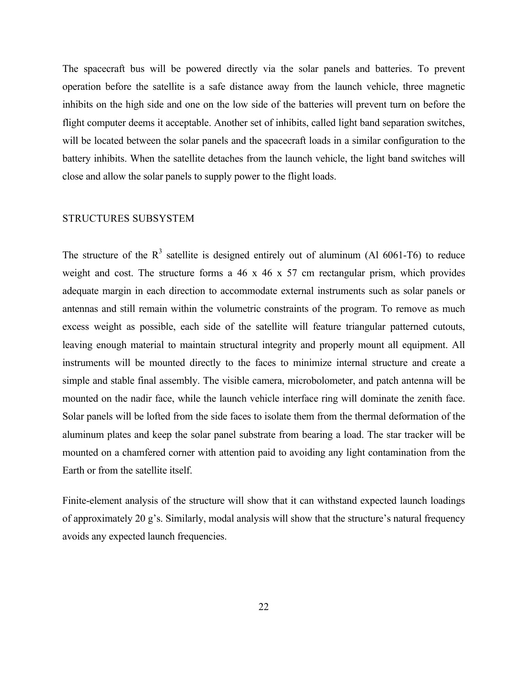The spacecraft bus will be powered directly via the solar panels and batteries. To prevent operation before the satellite is a safe distance away from the launch vehicle, three magnetic inhibits on the high side and one on the low side of the batteries will prevent turn on before the flight computer deems it acceptable. Another set of inhibits, called light band separation switches, will be located between the solar panels and the spacecraft loads in a similar configuration to the battery inhibits. When the satellite detaches from the launch vehicle, the light band switches will close and allow the solar panels to supply power to the flight loads.

# STRUCTURES SUBSYSTEM

The structure of the  $R<sup>3</sup>$  satellite is designed entirely out of aluminum (Al 6061-T6) to reduce weight and cost. The structure forms a 46 x 46 x 57 cm rectangular prism, which provides adequate margin in each direction to accommodate external instruments such as solar panels or antennas and still remain within the volumetric constraints of the program. To remove as much excess weight as possible, each side of the satellite will feature triangular patterned cutouts, leaving enough material to maintain structural integrity and properly mount all equipment. All instruments will be mounted directly to the faces to minimize internal structure and create a simple and stable final assembly. The visible camera, microbolometer, and patch antenna will be mounted on the nadir face, while the launch vehicle interface ring will dominate the zenith face. Solar panels will be lofted from the side faces to isolate them from the thermal deformation of the aluminum plates and keep the solar panel substrate from bearing a load. The star tracker will be mounted on a chamfered corner with attention paid to avoiding any light contamination from the Earth or from the satellite itself.

Finite-element analysis of the structure will show that it can withstand expected launch loadings of approximately 20 g's. Similarly, modal analysis will show that the structure's natural frequency avoids any expected launch frequencies.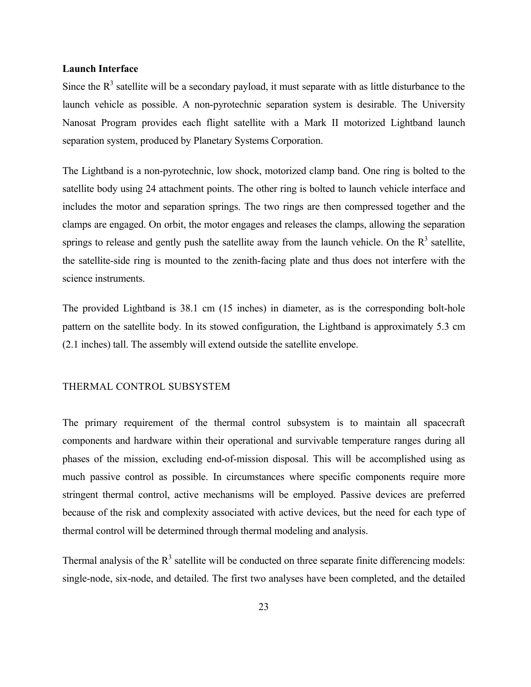### **Launch Interface**

Since the  $R<sup>3</sup>$  satellite will be a secondary payload, it must separate with as little disturbance to the launch vehicle as possible. A non-pyrotechnic separation system is desirable. The University Nanosat Program provides each flight satellite with a Mark II motorized Lightband launch separation system, produced by Planetary Systems Corporation.

The Lightband is a non-pyrotechnic, low shock, motorized clamp band. One ring is bolted to the satellite body using 24 attachment points. The other ring is bolted to launch vehicle interface and includes the motor and separation springs. The two rings are then compressed together and the clamps are engaged. On orbit, the motor engages and releases the clamps, allowing the separation springs to release and gently push the satellite away from the launch vehicle. On the  $R<sup>3</sup>$  satellite, the satellite-side ring is mounted to the zenith-facing plate and thus does not interfere with the science instruments.

The provided Lightband is 38.1 cm (15 inches) in diameter, as is the corresponding bolt-hole pattern on the satellite body. In its stowed configuration, the Lightband is approximately 5.3 cm (2.1 inches) tall. The assembly will extend outside the satellite envelope.

# THERMAL CONTROL SUBSYSTEM

The primary requirement of the thermal control subsystem is to maintain all spacecraft components and hardware within their operational and survivable temperature ranges during all phases of the mission, excluding end-of-mission disposal. This will be accomplished using as much passive control as possible. In circumstances where specific components require more stringent thermal control, active mechanisms will be employed. Passive devices are preferred because of the risk and complexity associated with active devices, but the need for each type of thermal control will be determined through thermal modeling and analysis.

Thermal analysis of the  $R<sup>3</sup>$  satellite will be conducted on three separate finite differencing models: single-node, six-node, and detailed. The first two analyses have been completed, and the detailed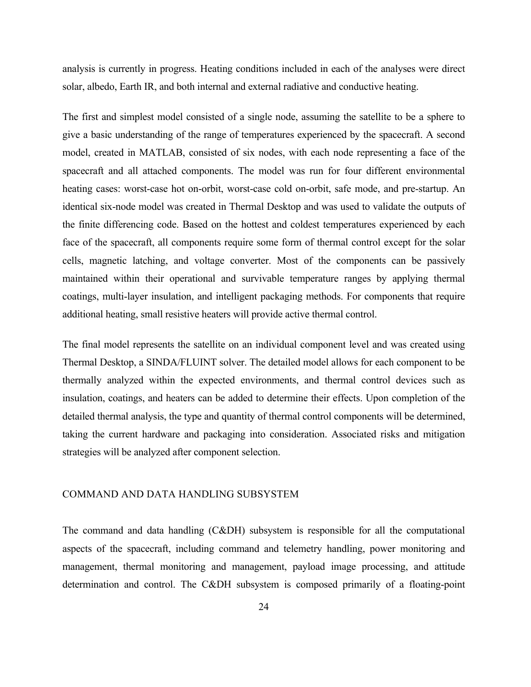analysis is currently in progress. Heating conditions included in each of the analyses were direct solar, albedo, Earth IR, and both internal and external radiative and conductive heating.

The first and simplest model consisted of a single node, assuming the satellite to be a sphere to give a basic understanding of the range of temperatures experienced by the spacecraft. A second model, created in MATLAB, consisted of six nodes, with each node representing a face of the spacecraft and all attached components. The model was run for four different environmental heating cases: worst-case hot on-orbit, worst-case cold on-orbit, safe mode, and pre-startup. An identical six-node model was created in Thermal Desktop and was used to validate the outputs of the finite differencing code. Based on the hottest and coldest temperatures experienced by each face of the spacecraft, all components require some form of thermal control except for the solar cells, magnetic latching, and voltage converter. Most of the components can be passively maintained within their operational and survivable temperature ranges by applying thermal coatings, multi-layer insulation, and intelligent packaging methods. For components that require additional heating, small resistive heaters will provide active thermal control.

The final model represents the satellite on an individual component level and was created using Thermal Desktop, a SINDA/FLUINT solver. The detailed model allows for each component to be thermally analyzed within the expected environments, and thermal control devices such as insulation, coatings, and heaters can be added to determine their effects. Upon completion of the detailed thermal analysis, the type and quantity of thermal control components will be determined, taking the current hardware and packaging into consideration. Associated risks and mitigation strategies will be analyzed after component selection.

### COMMAND AND DATA HANDLING SUBSYSTEM

The command and data handling (C&DH) subsystem is responsible for all the computational aspects of the spacecraft, including command and telemetry handling, power monitoring and management, thermal monitoring and management, payload image processing, and attitude determination and control. The C&DH subsystem is composed primarily of a floating-point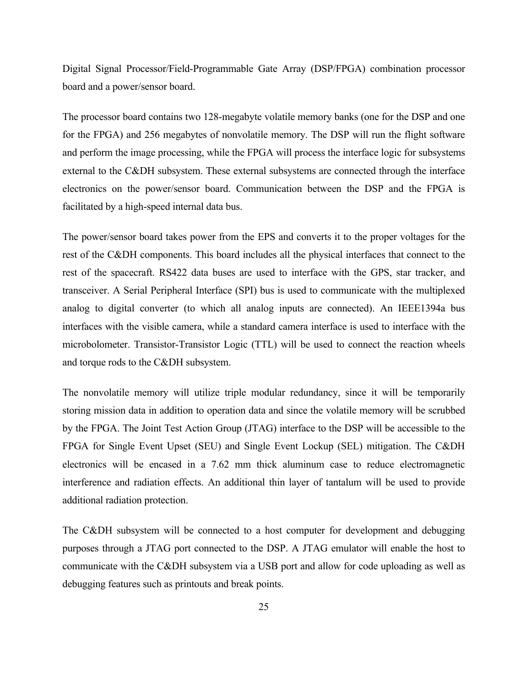Digital Signal Processor/Field-Programmable Gate Array (DSP/FPGA) combination processor board and a power/sensor board.

The processor board contains two 128-megabyte volatile memory banks (one for the DSP and one for the FPGA) and 256 megabytes of nonvolatile memory. The DSP will run the flight software and perform the image processing, while the FPGA will process the interface logic for subsystems external to the C&DH subsystem. These external subsystems are connected through the interface electronics on the power/sensor board. Communication between the DSP and the FPGA is facilitated by a high-speed internal data bus.

The power/sensor board takes power from the EPS and converts it to the proper voltages for the rest of the C&DH components. This board includes all the physical interfaces that connect to the rest of the spacecraft. RS422 data buses are used to interface with the GPS, star tracker, and transceiver. A Serial Peripheral Interface (SPI) bus is used to communicate with the multiplexed analog to digital converter (to which all analog inputs are connected). An IEEE1394a bus interfaces with the visible camera, while a standard camera interface is used to interface with the microbolometer. Transistor-Transistor Logic (TTL) will be used to connect the reaction wheels and torque rods to the C&DH subsystem.

The nonvolatile memory will utilize triple modular redundancy, since it will be temporarily storing mission data in addition to operation data and since the volatile memory will be scrubbed by the FPGA. The Joint Test Action Group (JTAG) interface to the DSP will be accessible to the FPGA for Single Event Upset (SEU) and Single Event Lockup (SEL) mitigation. The C&DH electronics will be encased in a 7.62 mm thick aluminum case to reduce electromagnetic interference and radiation effects. An additional thin layer of tantalum will be used to provide additional radiation protection.

The C&DH subsystem will be connected to a host computer for development and debugging purposes through a JTAG port connected to the DSP. A JTAG emulator will enable the host to communicate with the C&DH subsystem via a USB port and allow for code uploading as well as debugging features such as printouts and break points.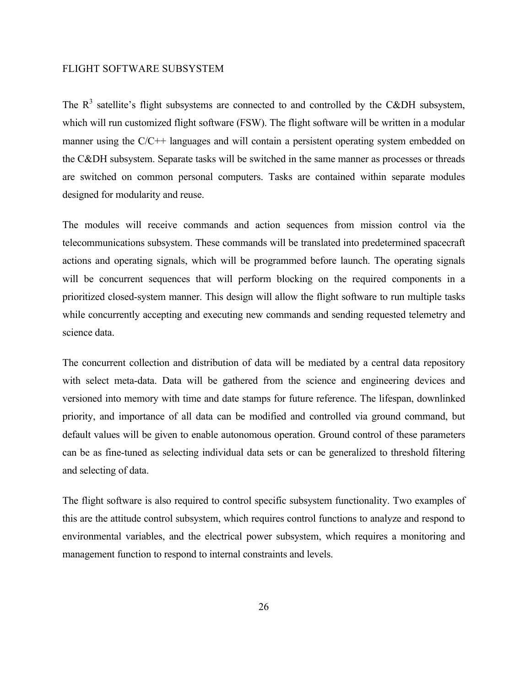# FLIGHT SOFTWARE SUBSYSTEM

The  $R<sup>3</sup>$  satellite's flight subsystems are connected to and controlled by the C&DH subsystem, which will run customized flight software (FSW). The flight software will be written in a modular manner using the C/C++ languages and will contain a persistent operating system embedded on the C&DH subsystem. Separate tasks will be switched in the same manner as processes or threads are switched on common personal computers. Tasks are contained within separate modules designed for modularity and reuse.

The modules will receive commands and action sequences from mission control via the telecommunications subsystem. These commands will be translated into predetermined spacecraft actions and operating signals, which will be programmed before launch. The operating signals will be concurrent sequences that will perform blocking on the required components in a prioritized closed-system manner. This design will allow the flight software to run multiple tasks while concurrently accepting and executing new commands and sending requested telemetry and science data.

The concurrent collection and distribution of data will be mediated by a central data repository with select meta-data. Data will be gathered from the science and engineering devices and versioned into memory with time and date stamps for future reference. The lifespan, downlinked priority, and importance of all data can be modified and controlled via ground command, but default values will be given to enable autonomous operation. Ground control of these parameters can be as fine-tuned as selecting individual data sets or can be generalized to threshold filtering and selecting of data.

The flight software is also required to control specific subsystem functionality. Two examples of this are the attitude control subsystem, which requires control functions to analyze and respond to environmental variables, and the electrical power subsystem, which requires a monitoring and management function to respond to internal constraints and levels.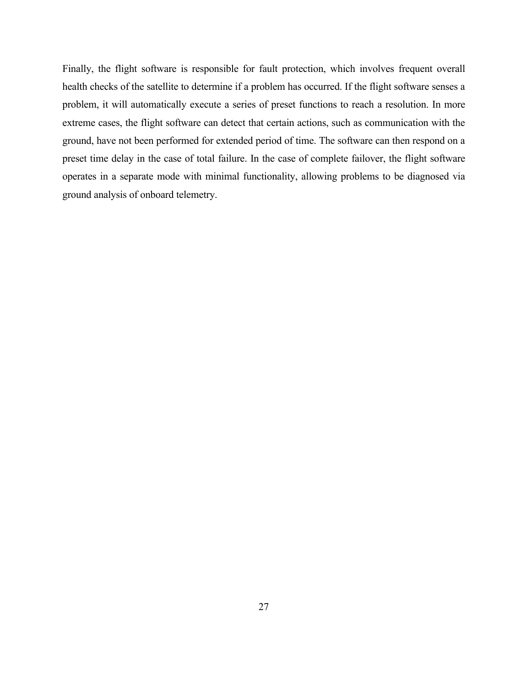Finally, the flight software is responsible for fault protection, which involves frequent overall health checks of the satellite to determine if a problem has occurred. If the flight software senses a problem, it will automatically execute a series of preset functions to reach a resolution. In more extreme cases, the flight software can detect that certain actions, such as communication with the ground, have not been performed for extended period of time. The software can then respond on a preset time delay in the case of total failure. In the case of complete failover, the flight software operates in a separate mode with minimal functionality, allowing problems to be diagnosed via ground analysis of onboard telemetry.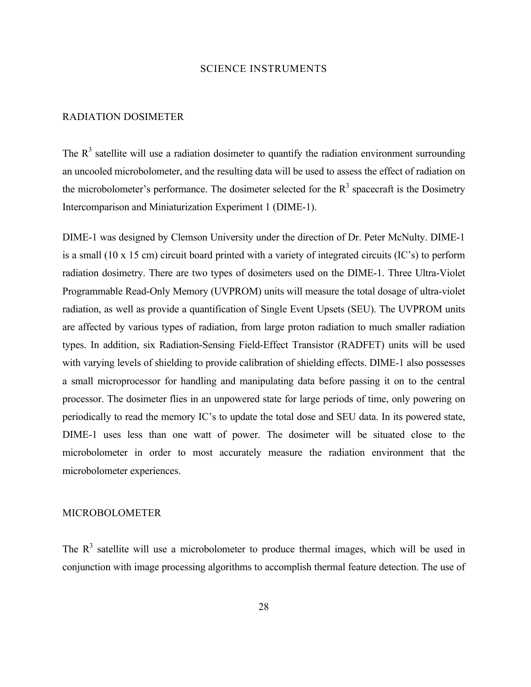### SCIENCE INSTRUMENTS

#### RADIATION DOSIMETER

The  $R<sup>3</sup>$  satellite will use a radiation dosimeter to quantify the radiation environment surrounding an uncooled microbolometer, and the resulting data will be used to assess the effect of radiation on the microbolometer's performance. The dosimeter selected for the  $R<sup>3</sup>$  spacecraft is the Dosimetry Intercomparison and Miniaturization Experiment 1 (DIME-1).

DIME-1 was designed by Clemson University under the direction of Dr. Peter McNulty. DIME-1 is a small (10 x 15 cm) circuit board printed with a variety of integrated circuits (IC's) to perform radiation dosimetry. There are two types of dosimeters used on the DIME-1. Three Ultra-Violet Programmable Read-Only Memory (UVPROM) units will measure the total dosage of ultra-violet radiation, as well as provide a quantification of Single Event Upsets (SEU). The UVPROM units are affected by various types of radiation, from large proton radiation to much smaller radiation types. In addition, six Radiation-Sensing Field-Effect Transistor (RADFET) units will be used with varying levels of shielding to provide calibration of shielding effects. DIME-1 also possesses a small microprocessor for handling and manipulating data before passing it on to the central processor. The dosimeter flies in an unpowered state for large periods of time, only powering on periodically to read the memory IC's to update the total dose and SEU data. In its powered state, DIME-1 uses less than one watt of power. The dosimeter will be situated close to the microbolometer in order to most accurately measure the radiation environment that the microbolometer experiences.

#### MICROBOLOMETER

The  $R<sup>3</sup>$  satellite will use a microbolometer to produce thermal images, which will be used in conjunction with image processing algorithms to accomplish thermal feature detection. The use of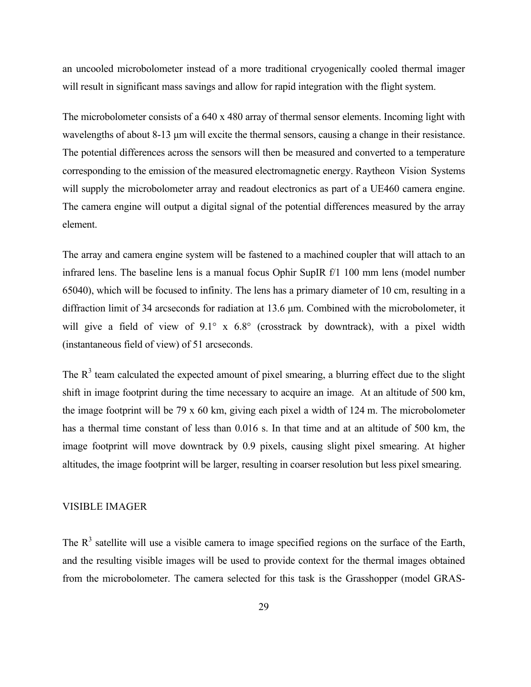an uncooled microbolometer instead of a more traditional cryogenically cooled thermal imager will result in significant mass savings and allow for rapid integration with the flight system.

The microbolometer consists of a 640 x 480 array of thermal sensor elements. Incoming light with wavelengths of about 8-13 µm will excite the thermal sensors, causing a change in their resistance. The potential differences across the sensors will then be measured and converted to a temperature corresponding to the emission of the measured electromagnetic energy. Raytheon Vision Systems will supply the microbolometer array and readout electronics as part of a UE460 camera engine. The camera engine will output a digital signal of the potential differences measured by the array element.

The array and camera engine system will be fastened to a machined coupler that will attach to an infrared lens. The baseline lens is a manual focus Ophir SupIR f/1 100 mm lens (model number 65040), which will be focused to infinity. The lens has a primary diameter of 10 cm, resulting in a diffraction limit of 34 arcseconds for radiation at 13.6 µm. Combined with the microbolometer, it will give a field of view of 9.1° x 6.8° (crosstrack by downtrack), with a pixel width (instantaneous field of view) of 51 arcseconds.

The  $R<sup>3</sup>$  team calculated the expected amount of pixel smearing, a blurring effect due to the slight shift in image footprint during the time necessary to acquire an image. At an altitude of 500 km, the image footprint will be 79 x 60 km, giving each pixel a width of 124 m. The microbolometer has a thermal time constant of less than 0.016 s. In that time and at an altitude of 500 km, the image footprint will move downtrack by 0.9 pixels, causing slight pixel smearing. At higher altitudes, the image footprint will be larger, resulting in coarser resolution but less pixel smearing.

# VISIBLE IMAGER

The  $R<sup>3</sup>$  satellite will use a visible camera to image specified regions on the surface of the Earth, and the resulting visible images will be used to provide context for the thermal images obtained from the microbolometer. The camera selected for this task is the Grasshopper (model GRAS-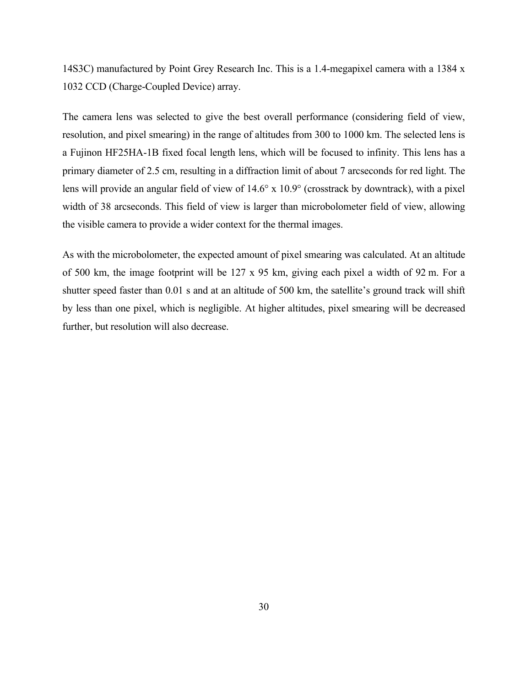14S3C) manufactured by Point Grey Research Inc. This is a 1.4-megapixel camera with a 1384 x 1032 CCD (Charge-Coupled Device) array.

The camera lens was selected to give the best overall performance (considering field of view, resolution, and pixel smearing) in the range of altitudes from 300 to 1000 km. The selected lens is a Fujinon HF25HA-1B fixed focal length lens, which will be focused to infinity. This lens has a primary diameter of 2.5 cm, resulting in a diffraction limit of about 7 arcseconds for red light. The lens will provide an angular field of view of 14.6° x 10.9° (crosstrack by downtrack), with a pixel width of 38 arcseconds. This field of view is larger than microbolometer field of view, allowing the visible camera to provide a wider context for the thermal images.

As with the microbolometer, the expected amount of pixel smearing was calculated. At an altitude of 500 km, the image footprint will be 127 x 95 km, giving each pixel a width of 92 m. For a shutter speed faster than 0.01 s and at an altitude of 500 km, the satellite's ground track will shift by less than one pixel, which is negligible. At higher altitudes, pixel smearing will be decreased further, but resolution will also decrease.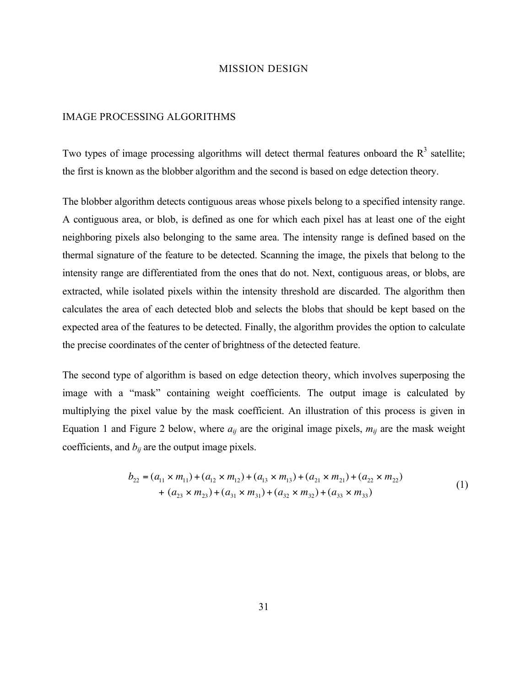### MISSION DESIGN

#### IMAGE PROCESSING ALGORITHMS

Two types of image processing algorithms will detect thermal features onboard the  $R<sup>3</sup>$  satellite; the first is known as the blobber algorithm and the second is based on edge detection theory.

The blobber algorithm detects contiguous areas whose pixels belong to a specified intensity range. A contiguous area, or blob, is defined as one for which each pixel has at least one of the eight neighboring pixels also belonging to the same area. The intensity range is defined based on the thermal signature of the feature to be detected. Scanning the image, the pixels that belong to the intensity range are differentiated from the ones that do not. Next, contiguous areas, or blobs, are extracted, while isolated pixels within the intensity threshold are discarded. The algorithm then calculates the area of each detected blob and selects the blobs that should be kept based on the expected area of the features to be detected. Finally, the algorithm provides the option to calculate the precise coordinates of the center of brightness of the detected feature.

The second type of algorithm is based on edge detection theory, which involves superposing the image with a "mask" containing weight coefficients. The output image is calculated by multiplying the pixel value by the mask coefficient. An illustration of this process is given in Equation 1 and Figure 2 below, where  $a_{ij}$  are the original image pixels,  $m_{ij}$  are the mask weight coefficients, and  $b_{ij}$  are the output image pixels.

$$
b_{22} = (a_{11} \times m_{11}) + (a_{12} \times m_{12}) + (a_{13} \times m_{13}) + (a_{21} \times m_{21}) + (a_{22} \times m_{22})
$$
  
+ 
$$
(a_{23} \times m_{23}) + (a_{31} \times m_{31}) + (a_{32} \times m_{32}) + (a_{33} \times m_{33})
$$
 (1)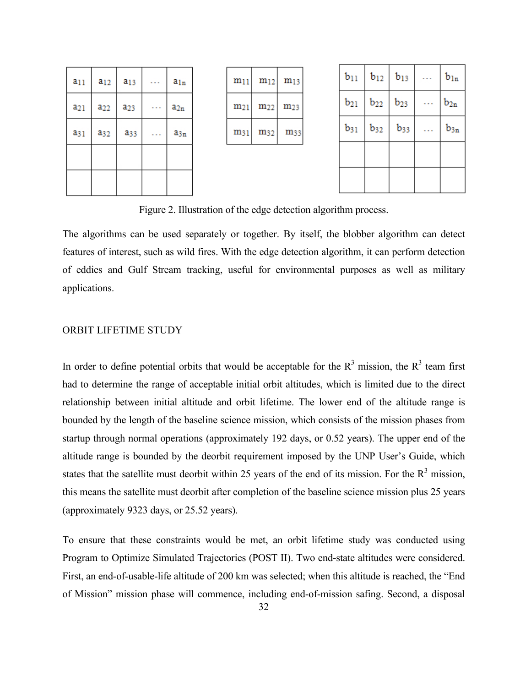| $a_{11}$ | $a_{12}$        | $a_{13}$               | $a_{ln}$ |
|----------|-----------------|------------------------|----------|
| $a_{21}$ | $a_{22}$        | a <sub>23</sub>        | $a_{2n}$ |
| $a_{31}$ | a <sub>32</sub> | <b>a</b> <sub>33</sub> | $a_{3n}$ |
|          |                 |                        |          |
|          |                 |                        |          |

| $m_{11}$ | $m_{12}$ | $m_{13}$ |
|----------|----------|----------|
| $m_{21}$ | $m_{22}$ | $m_{23}$ |
| m31      | $m_{32}$ | m33      |

| $b_{11}$ | $b_{12}$ | $b_{13}$ | $\mathbf{b}_{\ln}$ |
|----------|----------|----------|--------------------|
| $b_{21}$ | $b_{22}$ | $b_{23}$ | $b_{2n}$           |
| $b_{31}$ | $b_{32}$ | $b_{33}$ | $b_{\rm 3n}$       |
|          |          |          |                    |
|          |          |          |                    |

Figure 2. Illustration of the edge detection algorithm process.

The algorithms can be used separately or together. By itself, the blobber algorithm can detect features of interest, such as wild fires. With the edge detection algorithm, it can perform detection of eddies and Gulf Stream tracking, useful for environmental purposes as well as military applications.

#### ORBIT LIFETIME STUDY

In order to define potential orbits that would be acceptable for the  $R<sup>3</sup>$  mission, the  $R<sup>3</sup>$  team first had to determine the range of acceptable initial orbit altitudes, which is limited due to the direct relationship between initial altitude and orbit lifetime. The lower end of the altitude range is bounded by the length of the baseline science mission, which consists of the mission phases from startup through normal operations (approximately 192 days, or 0.52 years). The upper end of the altitude range is bounded by the deorbit requirement imposed by the UNP User's Guide, which states that the satellite must deorbit within 25 years of the end of its mission. For the  $R<sup>3</sup>$  mission, this means the satellite must deorbit after completion of the baseline science mission plus 25 years (approximately 9323 days, or 25.52 years).

To ensure that these constraints would be met, an orbit lifetime study was conducted using Program to Optimize Simulated Trajectories (POST II). Two end-state altitudes were considered. First, an end-of-usable-life altitude of 200 km was selected; when this altitude is reached, the "End of Mission" mission phase will commence, including end-of-mission safing. Second, a disposal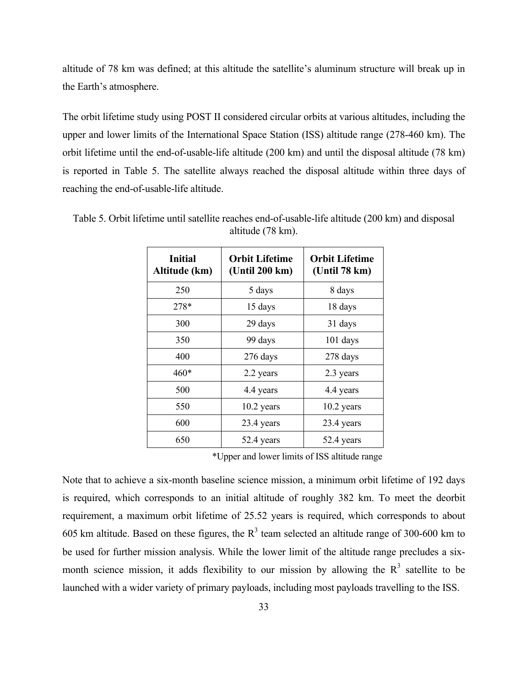altitude of 78 km was defined; at this altitude the satellite's aluminum structure will break up in the Earth's atmosphere.

The orbit lifetime study using POST II considered circular orbits at various altitudes, including the upper and lower limits of the International Space Station (ISS) altitude range (278-460 km). The orbit lifetime until the end-of-usable-life altitude (200 km) and until the disposal altitude (78 km) is reported in Table 5. The satellite always reached the disposal altitude within three days of reaching the end-of-usable-life altitude.

| <b>Initial</b><br>Altitude (km) | <b>Orbit Lifetime</b><br>(Unit 200 km) | <b>Orbit Lifetime</b><br>(Unit 78 km) |
|---------------------------------|----------------------------------------|---------------------------------------|
| 250                             | 5 days                                 | 8 days                                |
| 278*                            | 15 days                                | 18 days                               |
| 300                             | 29 days                                | 31 days                               |
| 350                             | 99 days                                | $101$ days                            |
| 400                             | 276 days                               | 278 days                              |
| $460*$                          | 2.2 years                              | 2.3 years                             |
| 500                             | 4.4 years                              | 4.4 years                             |
| 550                             | 10.2 years                             | 10.2 years                            |
| 600                             | 23.4 years                             | 23.4 years                            |
| 650                             | 52.4 years                             | 52.4 years                            |

Table 5. Orbit lifetime until satellite reaches end-of-usable-life altitude (200 km) and disposal altitude (78 km).

\*Upper and lower limits of ISS altitude range

Note that to achieve a six-month baseline science mission, a minimum orbit lifetime of 192 days is required, which corresponds to an initial altitude of roughly 382 km. To meet the deorbit requirement, a maximum orbit lifetime of 25.52 years is required, which corresponds to about 605 km altitude. Based on these figures, the  $R<sup>3</sup>$  team selected an altitude range of 300-600 km to be used for further mission analysis. While the lower limit of the altitude range precludes a sixmonth science mission, it adds flexibility to our mission by allowing the  $R<sup>3</sup>$  satellite to be launched with a wider variety of primary payloads, including most payloads travelling to the ISS.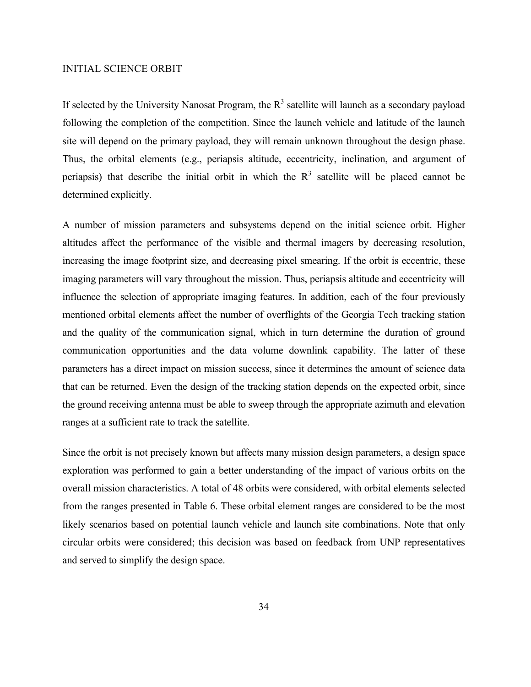# INITIAL SCIENCE ORBIT

If selected by the University Nanosat Program, the  $R<sup>3</sup>$  satellite will launch as a secondary payload following the completion of the competition. Since the launch vehicle and latitude of the launch site will depend on the primary payload, they will remain unknown throughout the design phase. Thus, the orbital elements (e.g., periapsis altitude, eccentricity, inclination, and argument of periapsis) that describe the initial orbit in which the  $R<sup>3</sup>$  satellite will be placed cannot be determined explicitly.

A number of mission parameters and subsystems depend on the initial science orbit. Higher altitudes affect the performance of the visible and thermal imagers by decreasing resolution, increasing the image footprint size, and decreasing pixel smearing. If the orbit is eccentric, these imaging parameters will vary throughout the mission. Thus, periapsis altitude and eccentricity will influence the selection of appropriate imaging features. In addition, each of the four previously mentioned orbital elements affect the number of overflights of the Georgia Tech tracking station and the quality of the communication signal, which in turn determine the duration of ground communication opportunities and the data volume downlink capability. The latter of these parameters has a direct impact on mission success, since it determines the amount of science data that can be returned. Even the design of the tracking station depends on the expected orbit, since the ground receiving antenna must be able to sweep through the appropriate azimuth and elevation ranges at a sufficient rate to track the satellite.

Since the orbit is not precisely known but affects many mission design parameters, a design space exploration was performed to gain a better understanding of the impact of various orbits on the overall mission characteristics. A total of 48 orbits were considered, with orbital elements selected from the ranges presented in Table 6. These orbital element ranges are considered to be the most likely scenarios based on potential launch vehicle and launch site combinations. Note that only circular orbits were considered; this decision was based on feedback from UNP representatives and served to simplify the design space.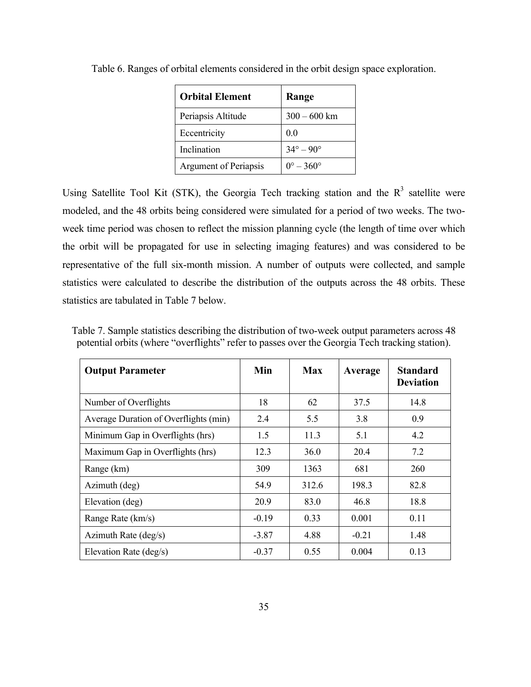| <b>Orbital Element</b>       | Range                     |
|------------------------------|---------------------------|
| Periapsis Altitude           | $300 - 600$ km            |
| Eccentricity                 | 0 <sub>0</sub>            |
| Inclination                  | $34^{\circ} - 90^{\circ}$ |
| <b>Argument of Periapsis</b> | $0^{\circ} - 360^{\circ}$ |

Table 6. Ranges of orbital elements considered in the orbit design space exploration.

Using Satellite Tool Kit (STK), the Georgia Tech tracking station and the  $R<sup>3</sup>$  satellite were modeled, and the 48 orbits being considered were simulated for a period of two weeks. The twoweek time period was chosen to reflect the mission planning cycle (the length of time over which the orbit will be propagated for use in selecting imaging features) and was considered to be representative of the full six-month mission. A number of outputs were collected, and sample statistics were calculated to describe the distribution of the outputs across the 48 orbits. These statistics are tabulated in Table 7 below.

| <b>Output Parameter</b>               | Min     | <b>Max</b> | Average | <b>Standard</b><br><b>Deviation</b> |
|---------------------------------------|---------|------------|---------|-------------------------------------|
| Number of Overflights                 | 18      | 62         | 37.5    | 14.8                                |
| Average Duration of Overflights (min) | 2.4     | 5.5        | 3.8     | 0.9                                 |
| Minimum Gap in Overflights (hrs)      | 1.5     | 11.3       | 5.1     | 4.2                                 |
| Maximum Gap in Overflights (hrs)      | 12.3    | 36.0       | 20.4    | 7.2                                 |
| Range (km)                            | 309     | 1363       | 681     | 260                                 |
| Azimuth (deg)                         | 54.9    | 312.6      | 198.3   | 82.8                                |
| Elevation (deg)                       | 20.9    | 83.0       | 46.8    | 18.8                                |
| Range Rate (km/s)                     | $-0.19$ | 0.33       | 0.001   | 0.11                                |
| Azimuth Rate (deg/s)                  | $-3.87$ | 4.88       | $-0.21$ | 1.48                                |
| Elevation Rate (deg/s)                | $-0.37$ | 0.55       | 0.004   | 0.13                                |

Table 7. Sample statistics describing the distribution of two-week output parameters across 48 potential orbits (where "overflights" refer to passes over the Georgia Tech tracking station).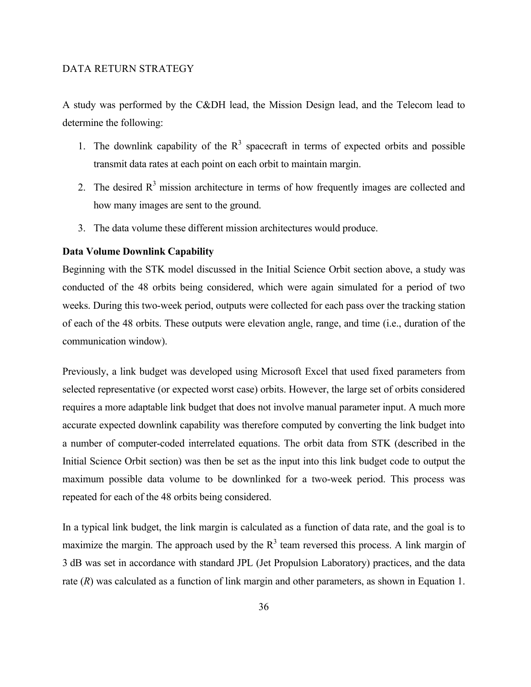# DATA RETURN STRATEGY

A study was performed by the C&DH lead, the Mission Design lead, and the Telecom lead to determine the following:

- 1. The downlink capability of the  $R<sup>3</sup>$  spacecraft in terms of expected orbits and possible transmit data rates at each point on each orbit to maintain margin.
- 2. The desired  $R<sup>3</sup>$  mission architecture in terms of how frequently images are collected and how many images are sent to the ground.
- 3. The data volume these different mission architectures would produce.

#### **Data Volume Downlink Capability**

Beginning with the STK model discussed in the Initial Science Orbit section above, a study was conducted of the 48 orbits being considered, which were again simulated for a period of two weeks. During this two-week period, outputs were collected for each pass over the tracking station of each of the 48 orbits. These outputs were elevation angle, range, and time (i.e., duration of the communication window).

Previously, a link budget was developed using Microsoft Excel that used fixed parameters from selected representative (or expected worst case) orbits. However, the large set of orbits considered requires a more adaptable link budget that does not involve manual parameter input. A much more accurate expected downlink capability was therefore computed by converting the link budget into a number of computer-coded interrelated equations. The orbit data from STK (described in the Initial Science Orbit section) was then be set as the input into this link budget code to output the maximum possible data volume to be downlinked for a two-week period. This process was repeated for each of the 48 orbits being considered.

In a typical link budget, the link margin is calculated as a function of data rate, and the goal is to maximize the margin. The approach used by the  $R<sup>3</sup>$  team reversed this process. A link margin of 3 dB was set in accordance with standard JPL (Jet Propulsion Laboratory) practices, and the data rate (*R*) was calculated as a function of link margin and other parameters, as shown in Equation 1.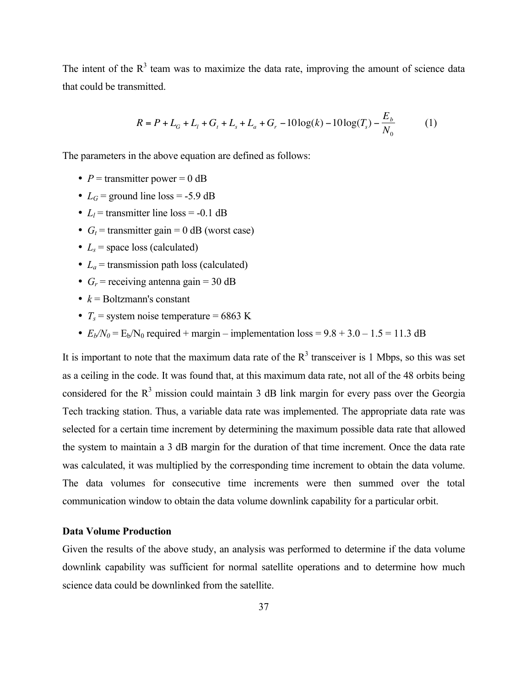The intent of the  $R<sup>3</sup>$  team was to maximize the data rate, improving the amount of science data that could be transmitted.

$$
R = P + L_G + L_1 + G_t + L_s + L_a + G_r - 10\log(k) - 10\log(T_s) - \frac{E_b}{N_0}
$$
 (1)

The parameters in the above equation are defined as follows:

- $P =$  transmitter power = 0 dB
- $L_G$  = ground line loss = -5.9 dB
- $L_l$  = transmitter line loss = -0.1 dB
- $G_t$  = transmitter gain = 0 dB (worst case)
- $L_s$  = space loss (calculated)
- $L_a$  = transmission path loss (calculated)
- $G_r$  = receiving antenna gain = 30 dB
- $k =$  Boltzmann's constant
- $T_s$  = system noise temperature = 6863 K
- $E_b/N_0 = E_b/N_0$  required + margin implementation loss = 9.8 + 3.0 1.5 = 11.3 dB

It is important to note that the maximum data rate of the  $R<sup>3</sup>$  transceiver is 1 Mbps, so this was set as a ceiling in the code. It was found that, at this maximum data rate, not all of the 48 orbits being considered for the  $R<sup>3</sup>$  mission could maintain 3 dB link margin for every pass over the Georgia Tech tracking station. Thus, a variable data rate was implemented. The appropriate data rate was selected for a certain time increment by determining the maximum possible data rate that allowed the system to maintain a 3 dB margin for the duration of that time increment. Once the data rate was calculated, it was multiplied by the corresponding time increment to obtain the data volume. The data volumes for consecutive time increments were then summed over the total communication window to obtain the data volume downlink capability for a particular orbit.

# **Data Volume Production**

Given the results of the above study, an analysis was performed to determine if the data volume downlink capability was sufficient for normal satellite operations and to determine how much science data could be downlinked from the satellite.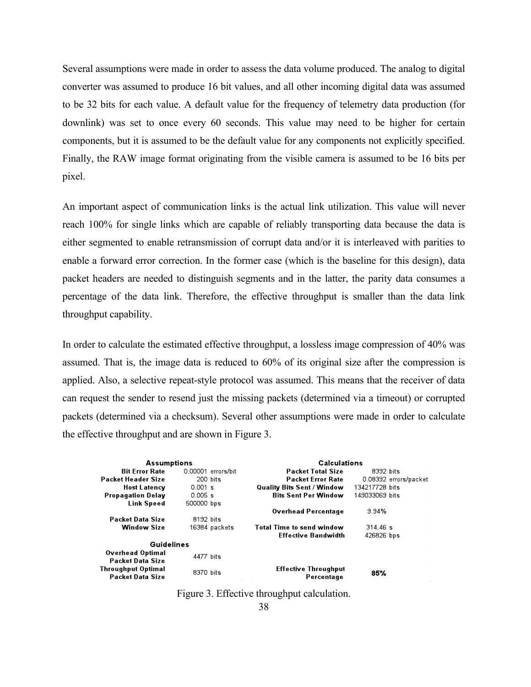Several assumptions were made in order to assess the data volume produced. The analog to digital converter was assumed to produce 16 bit values, and all other incoming digital data was assumed to be 32 bits for each value. A default value for the frequency of telemetry data production (for downlink) was set to once every 60 seconds. This value may need to be higher for certain components, but it is assumed to be the default value for any components not explicitly specified. Finally, the RAW image format originating from the visible camera is assumed to be 16 bits per pixel.

An important aspect of communication links is the actual link utilization. This value will never reach 100% for single links which are capable of reliably transporting data because the data is either segmented to enable retransmission of corrupt data and/or it is interleaved with parities to enable a forward error correction. In the former case (which is the baseline for this design), data packet headers are needed to distinguish segments and in the latter, the parity data consumes a percentage of the data link. Therefore, the effective throughput is smaller than the data link throughput capability.

In order to calculate the estimated effective throughput, a lossless image compression of 40% was assumed. That is, the image data is reduced to 60% of its original size after the compression is applied. Also, a selective repeat-style protocol was assumed. This means that the receiver of data can request the sender to resend just the missing packets (determined via a timeout) or corrupted packets (determined via a checksum). Several other assumptions were made in order to calculate the effective throughput and are shown in Figure 3.

| <b>Assumptions</b>        |                    | <b>Calculations</b>               |                       |
|---------------------------|--------------------|-----------------------------------|-----------------------|
| <b>Bit Frror Rate</b>     | 0.00001 errors/bit | <b>Packet Total Size</b>          | 8392 bits             |
| <b>Packet Header Size</b> | 200 bits           | <b>Packet Error Rate</b>          | 0.08392 errors/packet |
| <b>Host Latency</b>       | $0.001$ s          | <b>Quality Bits Sent / Window</b> | 134217728 bits        |
| <b>Propagation Delay</b>  | 0.005 s            | <b>Bits Sent Per Window</b>       | 149033069 bits        |
| <b>Link Speed</b>         | 500000 bps         |                                   |                       |
|                           |                    | <b>Overhead Percentage</b>        | 9.94%                 |
| Packet Data Size          | 8192 bits          |                                   |                       |
| <b>Window Size</b>        | 16384 packets      | <b>Total Time to send window</b>  | 314.46 s              |
|                           |                    | <b>Effective Bandwidth</b>        | 426826 bps            |
| <b>Guidelines</b>         |                    |                                   |                       |
| <b>Overhead Optimal</b>   | 4477 hits          |                                   |                       |
| <b>Packet Data Size</b>   |                    |                                   |                       |
| <b>Throughput Optimal</b> | 8370 bits          | <b>Effective Throughput</b>       |                       |
| <b>Packet Data Size</b>   |                    | Percentage                        | 85%                   |

Figure 3. Effective throughput calculation.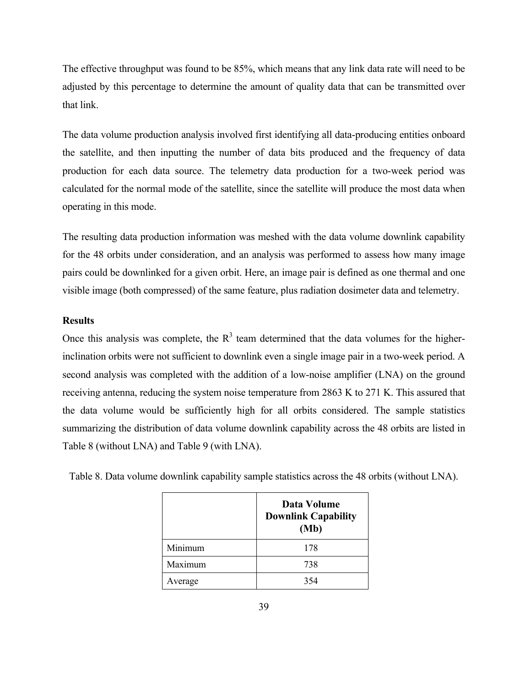The effective throughput was found to be 85%, which means that any link data rate will need to be adjusted by this percentage to determine the amount of quality data that can be transmitted over that link.

The data volume production analysis involved first identifying all data-producing entities onboard the satellite, and then inputting the number of data bits produced and the frequency of data production for each data source. The telemetry data production for a two-week period was calculated for the normal mode of the satellite, since the satellite will produce the most data when operating in this mode.

The resulting data production information was meshed with the data volume downlink capability for the 48 orbits under consideration, and an analysis was performed to assess how many image pairs could be downlinked for a given orbit. Here, an image pair is defined as one thermal and one visible image (both compressed) of the same feature, plus radiation dosimeter data and telemetry.

# **Results**

Once this analysis was complete, the  $R<sup>3</sup>$  team determined that the data volumes for the higherinclination orbits were not sufficient to downlink even a single image pair in a two-week period. A second analysis was completed with the addition of a low-noise amplifier (LNA) on the ground receiving antenna, reducing the system noise temperature from 2863 K to 271 K. This assured that the data volume would be sufficiently high for all orbits considered. The sample statistics summarizing the distribution of data volume downlink capability across the 48 orbits are listed in Table 8 (without LNA) and Table 9 (with LNA).

|         | Data Volume<br><b>Downlink Capability</b><br>(Mb) |
|---------|---------------------------------------------------|
| Minimum | 178                                               |
| Maximum | 738                                               |
| Average | 354                                               |

Table 8. Data volume downlink capability sample statistics across the 48 orbits (without LNA).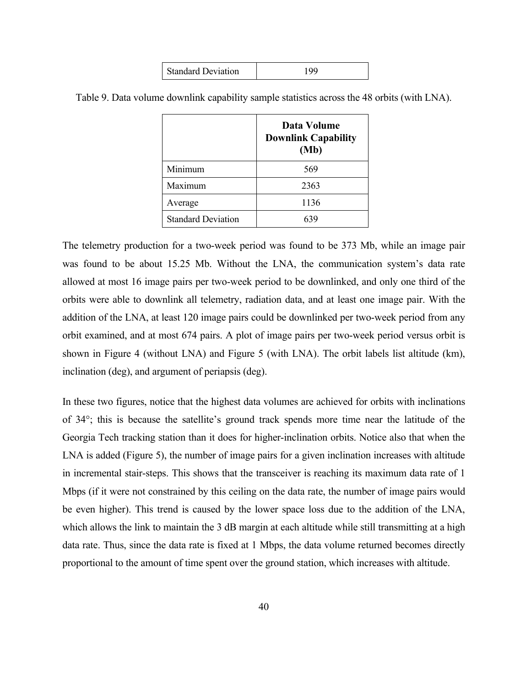| <b>Standard Deviation</b> | QQ |
|---------------------------|----|
|---------------------------|----|

|                           | Data Volume<br><b>Downlink Capability</b><br>(Mb) |
|---------------------------|---------------------------------------------------|
| Minimum                   | 569                                               |
| Maximum                   | 2363                                              |
| Average                   | 1136                                              |
| <b>Standard Deviation</b> |                                                   |

Table 9. Data volume downlink capability sample statistics across the 48 orbits (with LNA).

The telemetry production for a two-week period was found to be 373 Mb, while an image pair was found to be about 15.25 Mb. Without the LNA, the communication system's data rate allowed at most 16 image pairs per two-week period to be downlinked, and only one third of the orbits were able to downlink all telemetry, radiation data, and at least one image pair. With the addition of the LNA, at least 120 image pairs could be downlinked per two-week period from any orbit examined, and at most 674 pairs. A plot of image pairs per two-week period versus orbit is shown in Figure 4 (without LNA) and Figure 5 (with LNA). The orbit labels list altitude (km), inclination (deg), and argument of periapsis (deg).

In these two figures, notice that the highest data volumes are achieved for orbits with inclinations of 34°; this is because the satellite's ground track spends more time near the latitude of the Georgia Tech tracking station than it does for higher-inclination orbits. Notice also that when the LNA is added (Figure 5), the number of image pairs for a given inclination increases with altitude in incremental stair-steps. This shows that the transceiver is reaching its maximum data rate of 1 Mbps (if it were not constrained by this ceiling on the data rate, the number of image pairs would be even higher). This trend is caused by the lower space loss due to the addition of the LNA, which allows the link to maintain the 3 dB margin at each altitude while still transmitting at a high data rate. Thus, since the data rate is fixed at 1 Mbps, the data volume returned becomes directly proportional to the amount of time spent over the ground station, which increases with altitude.